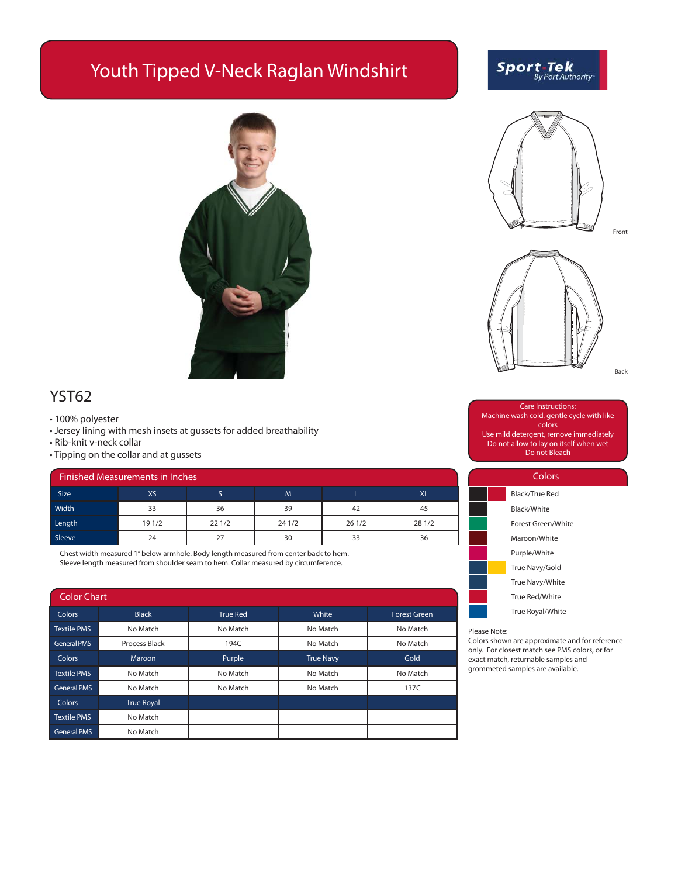# Youth Tipped V-Neck Raglan Windshirt



## YST62

- 100% polyester
- Jersey lining with mesh insets at gussets for added breathability
- Rib-knit v-neck collar
- Tipping on the collar and at gussets

| Finished Measurements in Inches |        |       |        |       |           |  |  |
|---------------------------------|--------|-------|--------|-------|-----------|--|--|
| <b>Size</b>                     | XS     |       | M      |       | <b>XL</b> |  |  |
| Width                           | 33     | 36    | 39     | 42    | 45        |  |  |
| Length                          | 19 1/2 | 221/2 | 24 1/2 | 261/2 | 28 1/2    |  |  |
| Sleeve                          | 24     |       | 30     | 33    | 36        |  |  |

Chest width measured 1" below armhole. Body length measured from center back to hem. Sleeve length measured from shoulder seam to hem. Collar measured by circumference.

| <b>Color Chart</b> |                   |                 |                  |                     |  |  |  |  |
|--------------------|-------------------|-----------------|------------------|---------------------|--|--|--|--|
| <b>Colors</b>      | <b>Black</b>      | <b>True Red</b> | White            | <b>Forest Green</b> |  |  |  |  |
| <b>Textile PMS</b> | No Match          | No Match        | No Match         | No Match            |  |  |  |  |
| <b>General PMS</b> | Process Black     | 194C            | No Match         | No Match            |  |  |  |  |
| Colors             | Maroon            | Purple          | <b>True Navy</b> | Gold                |  |  |  |  |
| <b>Textile PMS</b> | No Match          | No Match        | No Match         | No Match            |  |  |  |  |
| <b>General PMS</b> | No Match          | No Match        | No Match         | 137C                |  |  |  |  |
| Colors             | <b>True Royal</b> |                 |                  |                     |  |  |  |  |
| <b>Textile PMS</b> | No Match          |                 |                  |                     |  |  |  |  |
| <b>General PMS</b> | No Match          |                 |                  |                     |  |  |  |  |

**Sport-Tek**<br>By Port Authority





Care Instructions: Machine wash cold, gentle cycle with like colors Use mild detergent, remove immediately Do not allow to lay on itself when wet Do not Bleach



Colors shown are approximate and for reference only. For closest match see PMS colors, or for exact match, returnable samples and grommeted samples are available.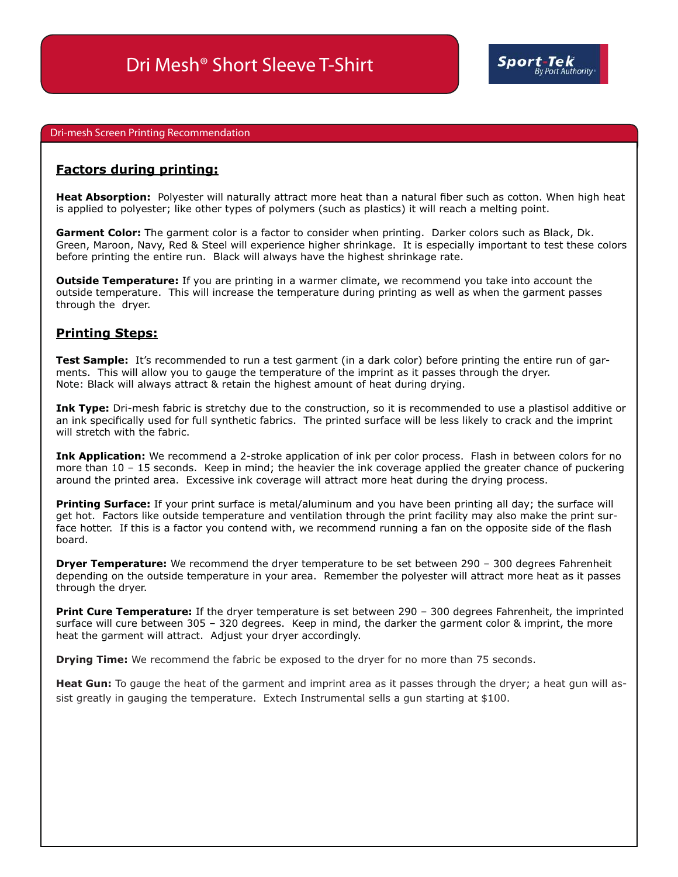#### Dri-mesh Screen Printing Recommendation

### **Factors during printing:**

**Heat Absorption:** Polyester will naturally attract more heat than a natural fiber such as cotton. When high heat is applied to polyester; like other types of polymers (such as plastics) it will reach a melting point.

**Garment Color:** The garment color is a factor to consider when printing. Darker colors such as Black, Dk. Green, Maroon, Navy, Red & Steel will experience higher shrinkage. It is especially important to test these colors before printing the entire run. Black will always have the highest shrinkage rate.

**Outside Temperature:** If you are printing in a warmer climate, we recommend you take into account the outside temperature. This will increase the temperature during printing as well as when the garment passes through the dryer.

### **Printing Steps:**

**Test Sample:** It's recommended to run a test garment (in a dark color) before printing the entire run of garments. This will allow you to gauge the temperature of the imprint as it passes through the dryer. Note: Black will always attract & retain the highest amount of heat during drying.

**Ink Type:** Dri-mesh fabric is stretchy due to the construction, so it is recommended to use a plastisol additive or an ink specifically used for full synthetic fabrics. The printed surface will be less likely to crack and the imprint will stretch with the fabric.

**Ink Application:** We recommend a 2-stroke application of ink per color process. Flash in between colors for no more than 10 – 15 seconds. Keep in mind; the heavier the ink coverage applied the greater chance of puckering around the printed area. Excessive ink coverage will attract more heat during the drying process.

**Printing Surface:** If your print surface is metal/aluminum and you have been printing all day; the surface will get hot. Factors like outside temperature and ventilation through the print facility may also make the print surface hotter. If this is a factor you contend with, we recommend running a fan on the opposite side of the flash board.

**Dryer Temperature:** We recommend the dryer temperature to be set between 290 – 300 degrees Fahrenheit depending on the outside temperature in your area. Remember the polyester will attract more heat as it passes through the dryer.

**Print Cure Temperature:** If the dryer temperature is set between 290 – 300 degrees Fahrenheit, the imprinted surface will cure between 305 – 320 degrees. Keep in mind, the darker the garment color & imprint, the more heat the garment will attract. Adjust your dryer accordingly.

**Drying Time:** We recommend the fabric be exposed to the dryer for no more than 75 seconds.

**Heat Gun:** To gauge the heat of the garment and imprint area as it passes through the dryer; a heat gun will assist greatly in gauging the temperature. Extech Instrumental sells a gun starting at \$100.